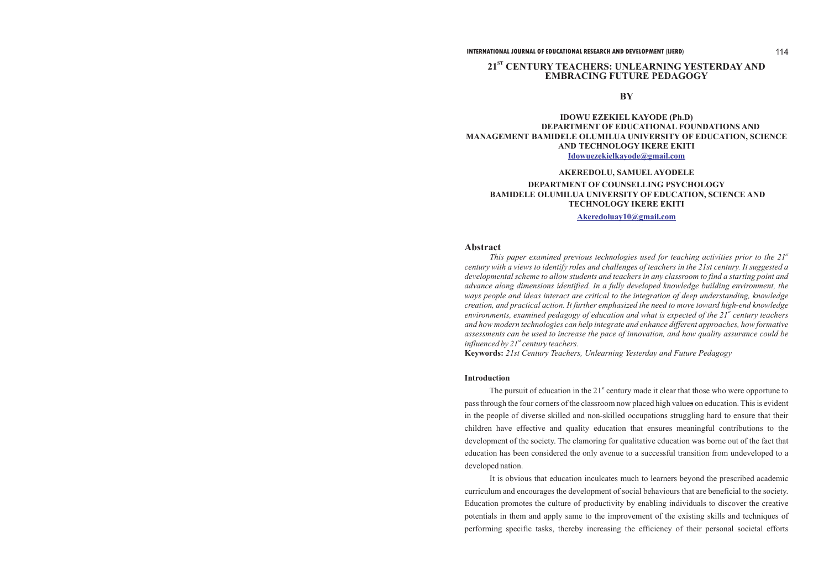### **INTERNATIONAL JOURNAL OF EDUCATIONAL RESEARCH AND DEVELOPMENT (IJERD)** 114

# **ST 21 CENTURY TEACHERS: UNLEARNING YESTERDAY AND EMBRACING FUTURE PEDAGOGY**

**BY**

# **AKEREDOLU, SAMUELAYODELE TECHNOLOGY IKERE EKITI**

# **DEPARTMENT OF COUNSELLING PSYCHOLOGY BAMIDELE OLUMILUA UNIVERSITY OF EDUCATION, SCIENCE AND**

# **Abstract**

This paper examined previous technologies used for teaching activities prior to the 21<sup>st</sup> *century with a views to identify roles and challenges of teachers in the 21st century. It suggested a developmental scheme to allow students and teachers in any classroom to find a starting point and advance along dimensions identified. In a fully developed knowledge building environment, the ways people and ideas interact are critical to the integration of deep understanding, knowledge creation, and practical action. It further emphasized the need to move toward high-end knowledge environments, examined pedagogy of education and what is expected of the 21<sup>st</sup> century teachers and how modern technologies can help integrate and enhance different approaches, how formative assessments can be used to increase the pace of innovation, and how quality assurance could be st influenced by 21 century teachers.* **Keywords:** *21st Century Teachers, Unlearning Yesterday and Future Pedagogy*

The pursuit of education in the  $21<sup>st</sup>$  century made it clear that those who were opportune to pass through the four corners of the classroom now placed high values on education. This is evident in the people of diverse skilled and non-skilled occupations struggling hard to ensure that their children have effective and quality education that ensures meaningful contributions to the development of the society. The clamoring for qualitative education was borne out of the fact that education has been considered the only avenue to a successful transition from undeveloped to a developed nation.

# **IDOWU EZEKIEL KAYODE (Ph.D) DEPARTMENT OF EDUCATIONAL FOUNDATIONS AND MANAGEMENT BAMIDELE OLUMILUA UNIVERSITY OF EDUCATION, SCIENCE AND TECHNOLOGY IKERE EKITI [Idowuezekielkayode@gmail.com](mailto:Idowuezekielkayode@gmail.com)**

### **Introduction**

It is obvious that education inculcates much to learners beyond the prescribed academic curriculum and encourages the development of social behaviours that are beneficial to the society. Education promotes the culture of productivity by enabling individuals to discover the creative potentials in them and apply same to the improvement of the existing skills and techniques of performing specific tasks, thereby increasing the efficiency of their personal societal efforts

**[Akeredoluay10@gmail.com](mailto:Akeredoluay10@gmail.com)**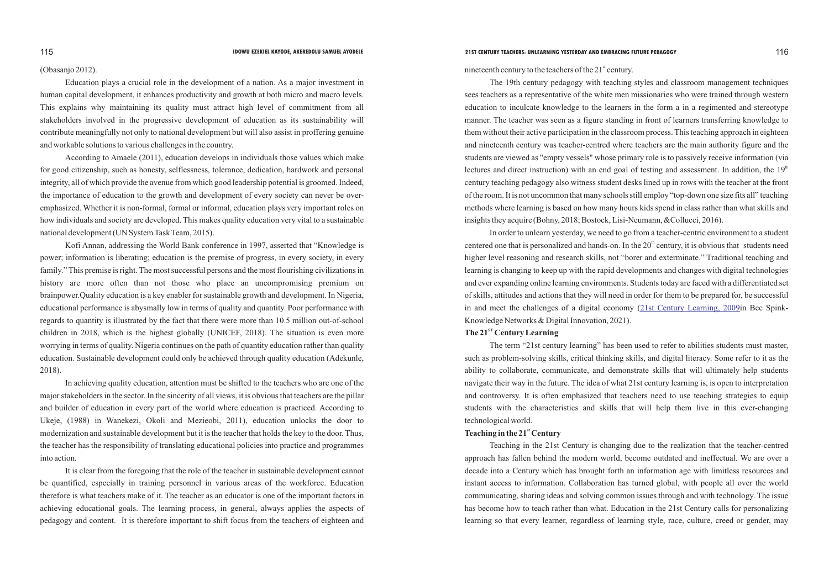### (Obasanjo 2012).

Education plays a crucial role in the development of a nation. As a major investment in human capital development, it enhances productivity and growth at both micro and macro levels. This explains why maintaining its quality must attract high level of commitment from all stakeholders involved in the progressive development of education as its sustainability will contribute meaningfully not only to national development but will also assist in proffering genuine and workable solutions to various challenges in the country.

According to Amaele (2011), education develops in individuals those values which make for good citizenship, such as honesty, selflessness, tolerance, dedication, hardwork and personal integrity, all of which provide the avenue from which good leadership potential is groomed. Indeed, the importance of education to the growth and development of every society can never be overemphasized. Whether it is non-formal, formal or informal, education plays very important roles on how individuals and society are developed. This makes quality education very vital to a sustainable national development (UN System Task Team, 2015).

Kofi Annan, addressing the World Bank conference in 1997, asserted that "Knowledge is power; information is liberating; education is the premise of progress, in every society, in every family." This premise is right. The most successful persons and the most flourishing civilizations in history are more often than not those who place an uncompromising premium on brainpower.Quality education is a key enabler for sustainable growth and development. In Nigeria, educational performance is abysmally low in terms of quality and quantity. Poor performance with regards to quantity is illustrated by the fact that there were more than 10.5 million out-of-school children in 2018, which is the highest globally (UNICEF, 2018). The situation is even more worrying in terms of quality. Nigeria continues on the path of quantity education rather than quality education. Sustainable development could only be achieved through quality education (Adekunle, 2018).

In achieving quality education, attention must be shifted to the teachers who are one of the major stakeholders in the sector. In the sincerity of all views, it is obvious that teachers are the pillar and builder of education in every part of the world where education is practiced. According to Ukeje, (1988) in Wanekezi, Okoli and Mezieobi, 2011), education unlocks the door to modernization and sustainable development but it is the teacher that holds the key to the door. Thus, the teacher has the responsibility of translating educational policies into practice and programmes into action.

It is clear from the foregoing that the role of the teacher in sustainable development cannot be quantified, especially in training personnel in various areas of the workforce. Education therefore is what teachers make of it. The teacher as an educator is one of the important factors in achieving educational goals. The learning process, in general, always applies the aspects of pedagogy and content. It is therefore important to shift focus from the teachers of eighteen and

The 19th century pedagogy with teaching styles and classroom management techniques sees teachers as a representative of the white men missionaries who were trained through western education to inculcate knowledge to the learners in the form a in a regimented and stereotype manner. The teacher was seen as a figure standing in front of learners transferring knowledge to them without their active participation in the classroom process. This teaching approach in eighteen and nineteenth century was teacher-centred where teachers are the main authority figure and the students are viewed as "empty vessels" whose primary role is to passively receive information (via lectures and direct instruction) with an end goal of testing and assessment. In addition, the  $19<sup>th</sup>$ century teaching pedagogy also witness student desks lined up in rows with the teacher at the front of the room. It is not uncommon that many schools still employ "top-down one size fits all" teaching methods where learning is based on how many hours kids spend in class rather than what skills and insights they acquire (Bohny, 2018; Bostock, Lisi-Neumann, &Collucci, 2016).

In order to unlearn yesterday, we need to go from a teacher-centric environment to a student centered one that is personalized and hands-on. In the  $20<sup>th</sup>$  century, it is obvious that students need higher level reasoning and research skills, not "borer and exterminate." Traditional teaching and learning is changing to keep up with the rapid developments and changes with digital technologies and ever expanding online learning environments. Students today are faced with a differentiated set of skills, attitudes and actions that they will need in order for them to be prepared for, be successful in and meet the challenges of a digital economy ([21st Century Learning, 2009](http://21c.qataracademy.wikispaces.net/file/view/21CLearning_June24_2009.pdf)in Bec Spink-Knowledge Networks & Digital Innovation, 2021). **ST The 21 Century Learning**

The term "21st century learning" has been used to refer to abilities students must master, such as problem-solving skills, critical thinking skills, and digital literacy. Some refer to it as the ability to collaborate, communicate, and demonstrate skills that will ultimately help students navigate their way in the future. The idea of what 21st century learning is, is open to interpretation and controversy. It is often emphasized that teachers need to use teaching strategies to equip students with the characteristics and skills that will help them live in this ever-changing technological world.

# **st Teaching in the 21 Century**

Teaching in the 21st Century is changing due to the realization that the teacher-centred approach has fallen behind the modern world, become outdated and ineffectual. We are over a decade into a Century which has brought forth an information age with limitless resources and instant access to information. Collaboration has turned global, with people all over the world communicating, sharing ideas and solving common issues through and with technology. The issue has become how to teach rather than what. Education in the 21st Century calls for personalizing learning so that every learner, regardless of learning style, race, culture, creed or gender, may

# 115 **IDOWU EZEKIEL KAYODE, AKEREDOLU SAMUEL AYODELE 21ST CENTURY TEACHERS: UNLEARNING YESTERDAY AND EMBRACING FUTURE PEDAGOGY** 116

nineteenth century to the teachers of the  $21<sup>st</sup>$  century.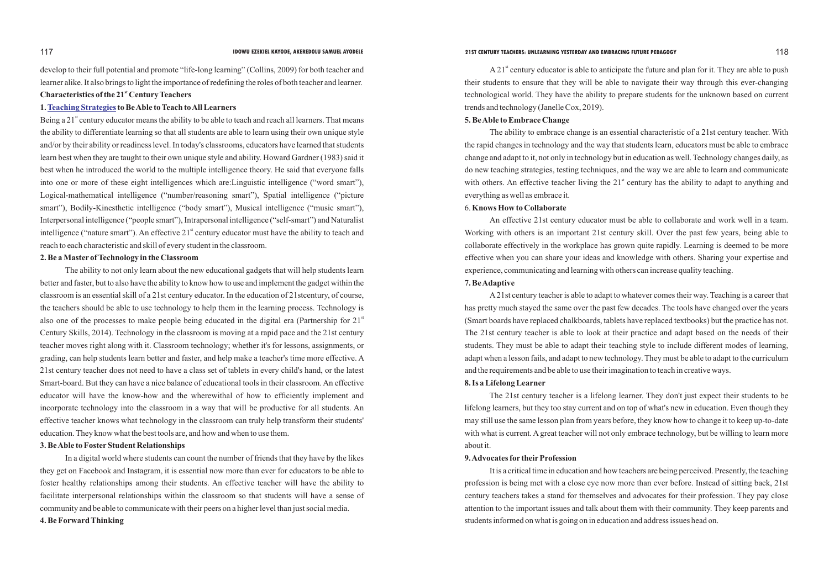develop to their full potential and promote "life-long learning" (Collins, 2009) for both teacher and learner alike. It also brings to light the importance of redefining the roles of both teacher and learner.

# **st Characteristics of the 21 Century Teachers**

### 1.Teaching Strategies to Be Able to Teach to All Learners

Being a  $21<sup>st</sup>$  century educator means the ability to be able to teach and reach all learners. That means the ability to differentiate learning so that all students are able to learn using their own unique style and/or by their ability or readiness level. In today's classrooms, educators have learned that students learn best when they are taught to their own unique style and ability. Howard Gardner (1983) said it best when he introduced the world to the multiple intelligence theory. He said that everyone falls into one or more of these eight intelligences which are:Linguistic intelligence ("word smart"), Logical-mathematical intelligence ("number/reasoning smart"), Spatial intelligence ("picture smart"), Bodily-Kinesthetic intelligence ("body smart"), Musical intelligence ("music smart"), Interpersonal intelligence ("people smart"), Intrapersonal intelligence ("self-smart") and Naturalist intelligence ("nature smart"). An effective  $21<sup>st</sup>$  century educator must have the ability to teach and reach to each characteristic and skill of every student in the classroom.

# **2. Be a Master of Technology in the Classroom**

 $\Delta 21^{\text{st}}$  century educator is able to anticipate the future and plan for it. They are able to push their students to ensure that they will be able to navigate their way through this ever-changing technological world. They have the ability to prepare students for the unknown based on current trends and technology (Janelle Cox, 2019).

The ability to not only learn about the new educational gadgets that will help students learn better and faster, but to also have the ability to know how to use and implement the gadget within the classroom is an essential skill of a 21st century educator. In the education of 21stcentury, of course, the teachers should be able to use technology to help them in the learning process. Technology is also one of the processes to make people being educated in the digital era (Partnership for  $21<sup>st</sup>$ Century Skills, 2014). Technology in the classroom is moving at a rapid pace and the 21st century teacher moves right along with it. Classroom technology; whether it's for lessons, assignments, or grading, can help students learn better and faster, and help make a teacher's time more effective. A 21st century teacher does not need to have a class set of tablets in every child's hand, or the latest Smart-board. But they can have a nice balance of educational tools in their classroom. An effective educator will have the know-how and the wherewithal of how to efficiently implement and incorporate technology into the classroom in a way that will be productive for all students. An effective teacher knows what technology in the classroom can truly help transform their students' education. They know what the best tools are, and how and when to use them.

# **3. Be Able to FosterStudent Relationships**

In a digital world where students can count the number of friends that they have by the likes they get on Facebook and Instagram, it is essential now more than ever for educators to be able to foster healthy relationships among their students. An effective teacher will have the ability to facilitate interpersonal relationships within the classroom so that students will have a sense of community and be able to communicate with their peers on a higher level than just social media.

# **4. Be Forward Thinking**

## **5. Be Able to Embrace Change**

The ability to embrace change is an essential characteristic of a 21st century teacher. With the rapid changes in technology and the way that students learn, educators must be able to embrace change and adapt to it, not only in technology but in education as well. Technology changes daily, as do new teaching strategies, testing techniques, and the way we are able to learn and communicate with others. An effective teacher living the  $21<sup>st</sup>$  century has the ability to adapt to anything and everything as well as embrace it.

# 6. **Knows How to Collaborate**

An effective 21st century educator must be able to collaborate and work well in a team. Working with others is an important 21st century skill. Over the past few years, being able to collaborate effectively in the workplace has grown quite rapidly. Learning is deemed to be more effective when you can share your ideas and knowledge with others. Sharing your expertise and experience, communicating and learning with others can increase quality teaching. **7. Be Adaptive**

A21st century teacher is able to adapt to whatever comes their way. Teaching is a career that has pretty much stayed the same over the past few decades. The tools have changed over the years (Smart boards have replaced chalkboards, tablets have replaced textbooks) but the practice has not. The 21st century teacher is able to look at their practice and adapt based on the needs of their students. They must be able to adapt their teaching style to include different modes of learning, adapt when a lesson fails, and adapt to new technology. They must be able to adapt to the curriculum and the requirements and be able to use their imagination to teach in creative ways. **8. Is a Lifelong Learner**

The 21st century teacher is a lifelong learner. They don't just expect their students to be lifelong learners, but they too stay current and on top of what's new in education. Even though they may still use the same lesson plan from years before, they know how to change it to keep up-to-date with what is current. A great teacher will not only embrace technology, but be willing to learn more about it.

# **9. Advocates for their Profession**

It is a critical time in education and how teachers are being perceived. Presently, the teaching profession is being met with a close eye now more than ever before. Instead of sitting back, 21st century teachers takes a stand for themselves and advocates for their profession. They pay close attention to the important issues and talk about them with their community. They keep parents and students informed on what is going on in education and address issues head on.

## 117 **IDOWU EZEKIEL KAYODE, AKEREDOLU SAMUEL AYODELE 21ST CENTURY TEACHERS: UNLEARNING YESTERDAY AND EMBRACING FUTURE PEDAGOGY** 118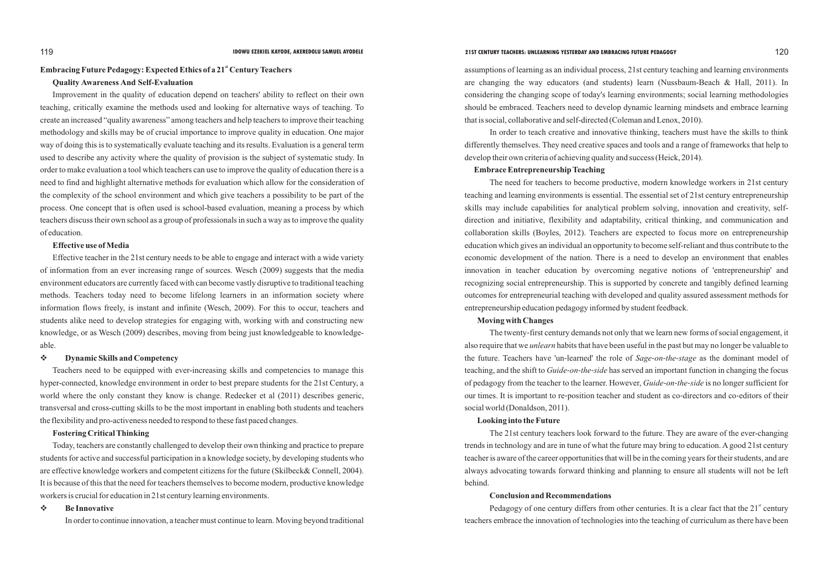# **Embracing Future Pedagogy: Expected Ethics of a 21<sup>st</sup> Century Teachers**

### **Quality Awareness And Self-Evaluation**

Improvement in the quality of education depend on teachers' ability to reflect on their own teaching, critically examine the methods used and looking for alternative ways of teaching. To create an increased "quality awareness" among teachers and help teachers to improve their teaching methodology and skills may be of crucial importance to improve quality in education. One major way of doing this is to systematically evaluate teaching and its results. Evaluation is a general term used to describe any activity where the quality of provision is the subject of systematic study. In order to make evaluation a tool which teachers can use to improve the quality of education there is a need to find and highlight alternative methods for evaluation which allow for the consideration of the complexity of the school environment and which give teachers a possibility to be part of the process. One concept that is often used is school-based evaluation, meaning a process by which teachers discuss their own school as a group of professionals in such a way as to improve the quality of education.

### **Effective use of Media**

Effective teacher in the 21st century needs to be able to engage and interact with a wide variety of information from an ever increasing range of sources. Wesch (2009) suggests that the media environment educators are currently faced with can become vastly disruptive to traditional teaching methods. Teachers today need to become lifelong learners in an information society where information flows freely, is instant and infinite (Wesch, 2009). For this to occur, teachers and students alike need to develop strategies for engaging with, working with and constructing new knowledge, or as Wesch (2009) describes, moving from being just knowledgeable to knowledgeable.

# v**Dynamic Skills and Competency**

Teachers need to be equipped with ever-increasing skills and competencies to manage this hyper-connected, knowledge environment in order to best prepare students for the 21st Century, a world where the only constant they know is change. Redecker et al (2011) describes generic, transversal and cross-cutting skills to be the most important in enabling both students and teachers the flexibility and pro-activeness needed to respond to these fast paced changes.

# **Fostering Critical Thinking**

Today, teachers are constantly challenged to develop their own thinking and practice to prepare students for active and successful participation in a knowledge society, by developing students who are effective knowledge workers and competent citizens for the future (Skilbeck& Connell, 2004). It is because of this that the need for teachers themselves to become modern, productive knowledge workers is crucial for education in 21st century learning environments.

# v **Be Innovative**

In order to continue innovation, a teacher must continue to learn. Moving beyond traditional

Pedagogy of one century differs from other centuries. It is a clear fact that the  $21<sup>st</sup>$  century teachers embrace the innovation of technologies into the teaching of curriculum as there have been

assumptions of learning as an individual process, 21st century teaching and learning environments are changing the way educators (and students) learn (Nussbaum-Beach & Hall, 2011). In considering the changing scope of today's learning environments; social learning methodologies should be embraced. Teachers need to develop dynamic learning mindsets and embrace learning that is social, collaborative and self-directed (Coleman and Lenox, 2010).

In order to teach creative and innovative thinking, teachers must have the skills to think differently themselves. They need creative spaces and tools and a range of frameworks that help to develop their own criteria of achieving quality and success (Heick, 2014).

### **Embrace Entrepreneurship Teaching**

The need for teachers to become productive, modern knowledge workers in 21st century teaching and learning environments is essential. The essential set of 21st century entrepreneurship skills may include capabilities for analytical problem solving, innovation and creativity, selfdirection and initiative, flexibility and adaptability, critical thinking, and communication and collaboration skills (Boyles, 2012). Teachers are expected to focus more on entrepreneurship education which gives an individual an opportunity to become self-reliant and thus contribute to the economic development of the nation. There is a need to develop an environment that enables innovation in teacher education by overcoming negative notions of 'entrepreneurship' and recognizing social entrepreneurship. This is supported by concrete and tangibly defined learning outcomes for entrepreneurial teaching with developed and quality assured assessment methods for entrepreneurship education pedagogy informed by student feedback.

# **Moving with Changes**

The twenty-first century demands not only that we learn new forms of social engagement, it also require that we *unlearn* habits that have been useful in the past but may no longer be valuable to the future. Teachers have 'un-learned' the role of *Sage*-*on*-*the*-*stage* as the dominant model of teaching, and the shift to *Guide*-*on*-*the*-*side* has served an important function in changing the focus of pedagogy from the teacher to the learner. However, *Guide*-*on*-*the*-*side* is no longer sufficient for our times. It is important to re-position teacher and student as co-directors and co-editors of their social world (Donaldson, 2011).

### **Looking into the Future**

The 21st century teachers look forward to the future. They are aware of the ever-changing trends in technology and are in tune of what the future may bring to education. Agood 21st century teacher is aware of the career opportunities that will be in the coming years for their students, and are always advocating towards forward thinking and planning to ensure all students will not be left behind.

# **Conclusion and Recommendations**

# 119 **IDOWU EZEKIEL KAYODE, AKEREDOLU SAMUEL AYODELE 21ST CENTURY TEACHERS: UNLEARNING YESTERDAY AND EMBRACING FUTURE PEDAGOGY** 120